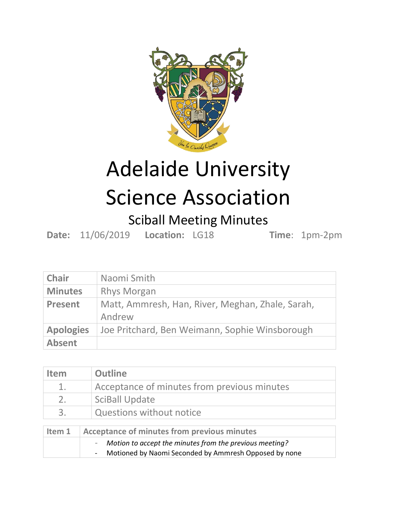

## Adelaide University Science Association

## Sciball Meeting Minutes

**Date:** 11/06/2019 **Location:** LG18 **Time**: 1pm-2pm

| <b>Chair</b>     | Naomi Smith                                                |
|------------------|------------------------------------------------------------|
| <b>Minutes</b>   | <b>Rhys Morgan</b>                                         |
| <b>Present</b>   | Matt, Ammresh, Han, River, Meghan, Zhale, Sarah,<br>Andrew |
| <b>Apologies</b> | Joe Pritchard, Ben Weimann, Sophie Winsborough             |
| <b>Absent</b>    |                                                            |

| <b>Item</b>                                                  | <b>Outline</b>                                                                                                                                    |
|--------------------------------------------------------------|---------------------------------------------------------------------------------------------------------------------------------------------------|
| 1.                                                           | Acceptance of minutes from previous minutes                                                                                                       |
| 2.                                                           | <b>SciBall Update</b>                                                                                                                             |
| 3.                                                           | <b>Questions without notice</b>                                                                                                                   |
| <b>Acceptance of minutes from previous minutes</b><br>Item 1 |                                                                                                                                                   |
|                                                              | Motion to accept the minutes from the previous meeting?<br>-<br>Motioned by Naomi Seconded by Ammresh Opposed by none<br>$\overline{\phantom{0}}$ |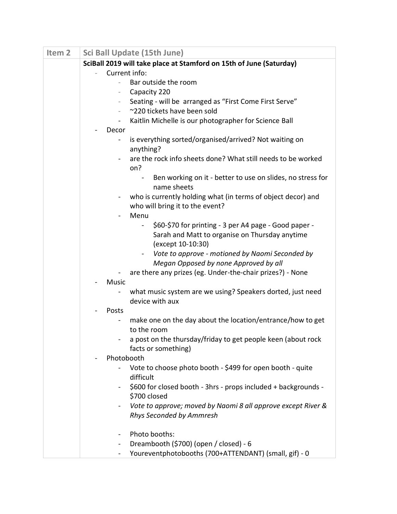| Item <sub>2</sub> | <b>Sci Ball Update (15th June)</b>                                                          |
|-------------------|---------------------------------------------------------------------------------------------|
|                   | SciBall 2019 will take place at Stamford on 15th of June (Saturday)                         |
|                   | Current info:                                                                               |
|                   | Bar outside the room                                                                        |
|                   | Capacity 220<br>$\overline{\phantom{a}}$                                                    |
|                   | Seating - will be arranged as "First Come First Serve"                                      |
|                   | ~220 tickets have been sold<br>$\overline{\phantom{a}}$                                     |
|                   | Kaitlin Michelle is our photographer for Science Ball                                       |
|                   | Decor                                                                                       |
|                   | is everything sorted/organised/arrived? Not waiting on<br>$\blacksquare$                    |
|                   | anything?                                                                                   |
|                   | are the rock info sheets done? What still needs to be worked<br>on?                         |
|                   | Ben working on it - better to use on slides, no stress for<br>$\blacksquare$<br>name sheets |
|                   | who is currently holding what (in terms of object decor) and                                |
|                   | $\overline{\phantom{a}}$<br>who will bring it to the event?                                 |
|                   | Menu                                                                                        |
|                   | \$60-\$70 for printing - 3 per A4 page - Good paper -<br>$\blacksquare$                     |
|                   | Sarah and Matt to organise on Thursday anytime                                              |
|                   | (except 10-10:30)                                                                           |
|                   | Vote to approve - motioned by Naomi Seconded by                                             |
|                   | Megan Opposed by none Approved by all                                                       |
|                   | are there any prizes (eg. Under-the-chair prizes?) - None                                   |
|                   | <b>Music</b>                                                                                |
|                   | what music system are we using? Speakers dorted, just need                                  |
|                   | device with aux                                                                             |
|                   | Posts                                                                                       |
|                   | make one on the day about the location/entrance/how to get<br>$\blacksquare$                |
|                   | to the room                                                                                 |
|                   | a post on the thursday/friday to get people keen (about rock                                |
|                   | facts or something)<br>Photobooth                                                           |
|                   | Vote to choose photo booth - \$499 for open booth - quite                                   |
|                   | difficult                                                                                   |
|                   | \$600 for closed booth - 3hrs - props included + backgrounds -                              |
|                   | \$700 closed                                                                                |
|                   | Vote to approve; moved by Naomi 8 all approve except River &                                |
|                   | Rhys Seconded by Ammresh                                                                    |
|                   |                                                                                             |
|                   | Photo booths:<br>$\blacksquare$                                                             |
|                   | Dreambooth (\$700) (open / closed) - 6                                                      |
|                   | Youreventphotobooths (700+ATTENDANT) (small, gif) - 0<br>$\blacksquare$                     |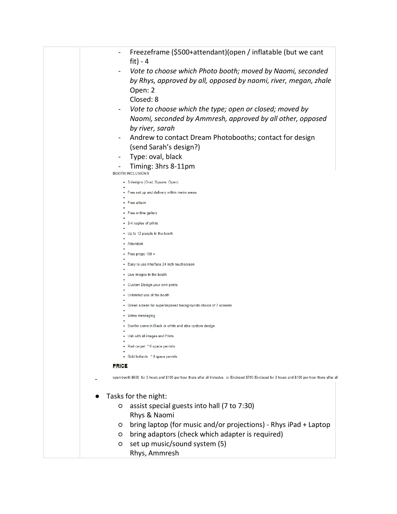| Freezeframe (\$500+attendant) (open / inflatable (but we cant                                                                                        |
|------------------------------------------------------------------------------------------------------------------------------------------------------|
| fit) - $4$                                                                                                                                           |
| Vote to choose which Photo booth; moved by Naomi, seconded                                                                                           |
| by Rhys, approved by all, opposed by naomi, river, megan, zhale                                                                                      |
| Open: 2                                                                                                                                              |
| Closed: 8                                                                                                                                            |
| Vote to choose which the type; open or closed; moved by<br>$\blacksquare$                                                                            |
| Naomi, seconded by Ammresh, approved by all other, opposed                                                                                           |
| by river, sarah                                                                                                                                      |
| Andrew to contact Dream Photobooths; contact for design                                                                                              |
| (send Sarah's design?)                                                                                                                               |
| Type: oval, black                                                                                                                                    |
| Timing: 3hrs 8-11pm<br><b>BOOTH INCLUSIONS</b>                                                                                                       |
| • 3 designs (Oval, Square, Open).                                                                                                                    |
| Free set up and delivery within metro areas.                                                                                                         |
| Free album                                                                                                                                           |
| Free online gallery                                                                                                                                  |
| 2-4 copies of prints                                                                                                                                 |
| Up to 12 people in the booth                                                                                                                         |
| Attendant                                                                                                                                            |
| Free props 100 +                                                                                                                                     |
| Easy to use interface 24 inch touchscreen                                                                                                            |
| Live images in the booth                                                                                                                             |
| Custom Design your own prints                                                                                                                        |
| Unlimited use of the booth                                                                                                                           |
| Green screen for superimposed backgrounds choice of 7 screens                                                                                        |
| Video messaging                                                                                                                                      |
| Booths come in Black or white and also custom design                                                                                                 |
| Usb with all images and Prints                                                                                                                       |
| • Red carpet * If space permits                                                                                                                      |
| • Gold bollards * If space permits                                                                                                                   |
| <b>PRICE</b>                                                                                                                                         |
| open booth \$600 for 3 hours and \$100 per hour there after all inclusive. or Enclosed \$700 Enclosed for 3 hours and \$100 per hour there after all |
|                                                                                                                                                      |
| Tasks for the night:                                                                                                                                 |
| assist special guests into hall (7 to 7:30)<br>O                                                                                                     |
| Rhys & Naomi                                                                                                                                         |
| bring laptop (for music and/or projections) - Rhys iPad + Laptop<br>$\circ$                                                                          |
| bring adaptors (check which adapter is required)<br>$\circ$                                                                                          |
| set up music/sound system (5)<br>O                                                                                                                   |
| Rhys, Ammresh                                                                                                                                        |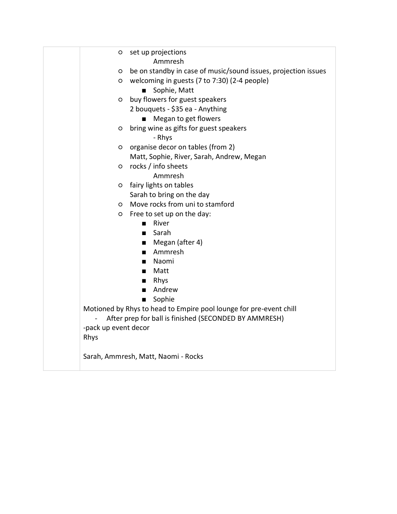